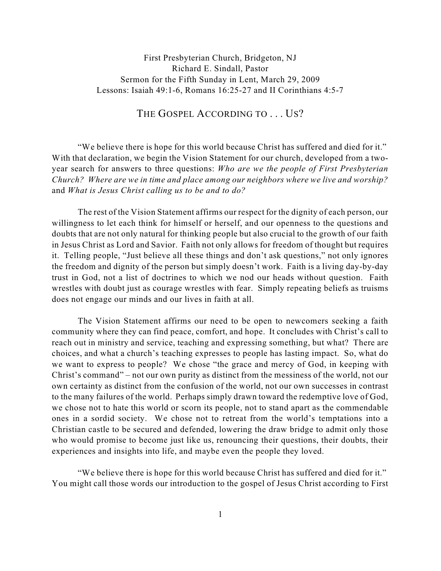## THE GOSPEL ACCORDING TO . . . US?

"We believe there is hope for this world because Christ has suffered and died for it." With that declaration, we begin the Vision Statement for our church, developed from a twoyear search for answers to three questions: *Who are we the people of First Presbyterian Church? Where are we in time and place among our neighbors where we live and worship?* and *What is Jesus Christ calling us to be and to do?*

The rest of the Vision Statement affirms our respect for the dignity of each person, our willingness to let each think for himself or herself, and our openness to the questions and doubts that are not only natural for thinking people but also crucial to the growth of our faith in Jesus Christ as Lord and Savior. Faith not only allows for freedom of thought but requires it. Telling people, "Just believe all these things and don't ask questions," not only ignores the freedom and dignity of the person but simply doesn't work. Faith is a living day-by-day trust in God, not a list of doctrines to which we nod our heads without question. Faith wrestles with doubt just as courage wrestles with fear. Simply repeating beliefs as truisms does not engage our minds and our lives in faith at all.

The Vision Statement affirms our need to be open to newcomers seeking a faith community where they can find peace, comfort, and hope. It concludes with Christ's call to reach out in ministry and service, teaching and expressing something, but what? There are choices, and what a church's teaching expresses to people has lasting impact. So, what do we want to express to people? We chose "the grace and mercy of God, in keeping with Christ's command" – not our own purity as distinct from the messiness of the world, not our own certainty as distinct from the confusion of the world, not our own successes in contrast to the many failures of the world. Perhaps simply drawn toward the redemptive love of God, we chose not to hate this world or scorn its people, not to stand apart as the commendable ones in a sordid society. We chose not to retreat from the world's temptations into a Christian castle to be secured and defended, lowering the draw bridge to admit only those who would promise to become just like us, renouncing their questions, their doubts, their experiences and insights into life, and maybe even the people they loved.

"We believe there is hope for this world because Christ has suffered and died for it." You might call those words our introduction to the gospel of Jesus Christ according to First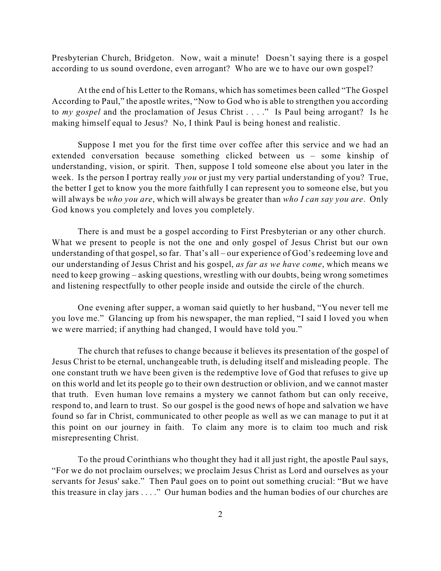Presbyterian Church, Bridgeton. Now, wait a minute! Doesn't saying there is a gospel according to us sound overdone, even arrogant? Who are we to have our own gospel?

At the end of his Letter to the Romans, which has sometimes been called "The Gospel According to Paul," the apostle writes, "Now to God who is able to strengthen you according to *my gospel* and the proclamation of Jesus Christ . . . ." Is Paul being arrogant? Is he making himself equal to Jesus? No, I think Paul is being honest and realistic.

Suppose I met you for the first time over coffee after this service and we had an extended conversation because something clicked between us – some kinship of understanding, vision, or spirit. Then, suppose I told someone else about you later in the week. Is the person I portray really *you* or just my very partial understanding of you? True, the better I get to know you the more faithfully I can represent you to someone else, but you will always be *who you are*, which will always be greater than *who I can say you are*. Only God knows you completely and loves you completely.

There is and must be a gospel according to First Presbyterian or any other church. What we present to people is not the one and only gospel of Jesus Christ but our own understanding of that gospel, so far. That's all – our experience of God's redeeming love and our understanding of Jesus Christ and his gospel, *as far as we have come*, which means we need to keep growing – asking questions, wrestling with our doubts, being wrong sometimes and listening respectfully to other people inside and outside the circle of the church.

One evening after supper, a woman said quietly to her husband, "You never tell me you love me." Glancing up from his newspaper, the man replied, "I said I loved you when we were married; if anything had changed, I would have told you."

The church that refuses to change because it believes its presentation of the gospel of Jesus Christ to be eternal, unchangeable truth, is deluding itself and misleading people. The one constant truth we have been given is the redemptive love of God that refuses to give up on this world and let its people go to their own destruction or oblivion, and we cannot master that truth. Even human love remains a mystery we cannot fathom but can only receive, respond to, and learn to trust. So our gospel is the good news of hope and salvation we have found so far in Christ, communicated to other people as well as we can manage to put it at this point on our journey in faith. To claim any more is to claim too much and risk misrepresenting Christ.

To the proud Corinthians who thought they had it all just right, the apostle Paul says, "For we do not proclaim ourselves; we proclaim Jesus Christ as Lord and ourselves as your servants for Jesus' sake." Then Paul goes on to point out something crucial: "But we have this treasure in clay jars . . . ." Our human bodies and the human bodies of our churches are